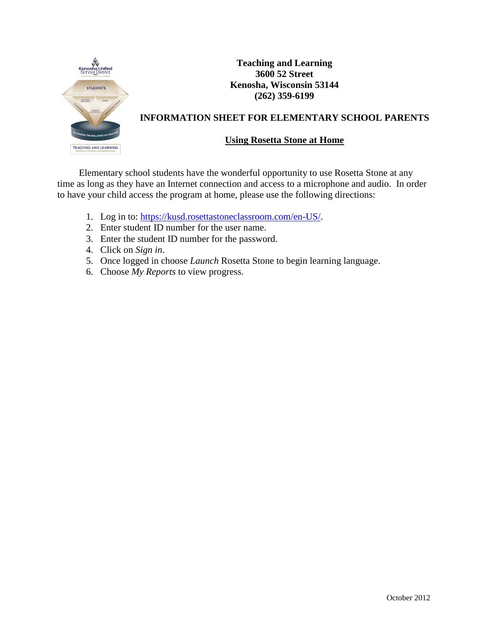

**Teaching and Learning 3600 52 Street Kenosha, Wisconsin 53144 (262) 359-6199**

## **INFORMATION SHEET FOR ELEMENTARY SCHOOL PARENTS**

## **Using Rosetta Stone at Home**

Elementary school students have the wonderful opportunity to use Rosetta Stone at any time as long as they have an Internet connection and access to a microphone and audio. In order to have your child access the program at home, please use the following directions:

- 1. Log in to: https://kusd.rosettastoneclassroom.com/en-US/.
- 2. Enter student ID number for the user name.
- 3. Enter the student ID number for the password.
- 4. Click on *Sign in*.
- 5. Once logged in choose *Launch* Rosetta Stone to begin learning language.
- 6. Choose *My Reports* to view progress.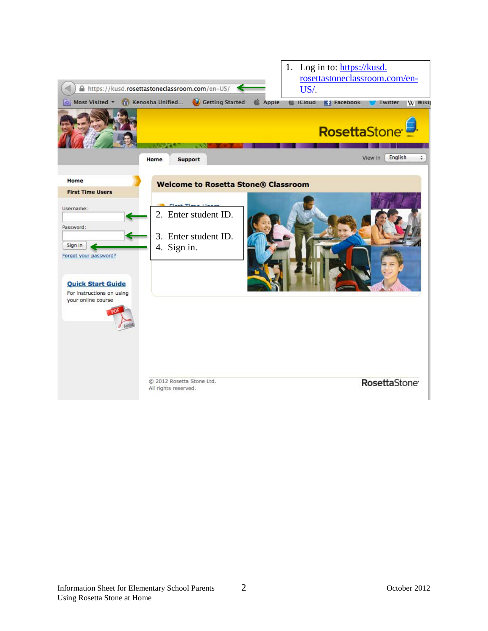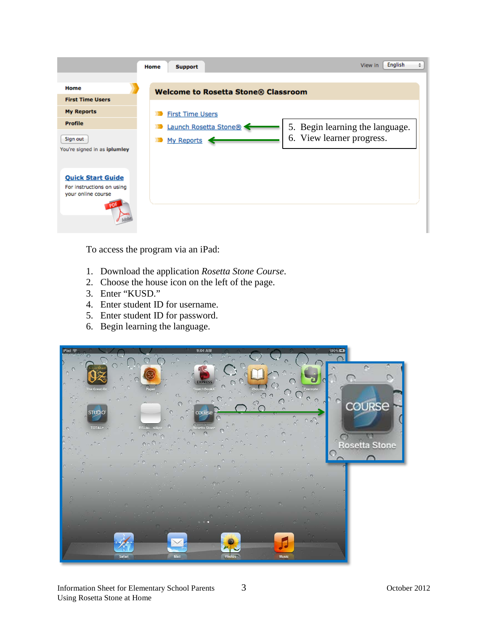|                                                                             | <b>Support</b><br>Home                     | English<br>View in<br>÷         |
|-----------------------------------------------------------------------------|--------------------------------------------|---------------------------------|
| Home                                                                        |                                            |                                 |
| <b>First Time Users</b>                                                     | <b>Welcome to Rosetta Stone® Classroom</b> |                                 |
| <b>My Reports</b>                                                           | <b>First Time Users</b>                    |                                 |
| Profile                                                                     | Launch Rosetta Stone®                      | 5. Begin learning the language. |
| Sign out                                                                    | My Reports                                 | 6. View learner progress.       |
| You're signed in as iplumley                                                |                                            |                                 |
| <b>Quick Start Guide</b><br>For instructions on using<br>your online course |                                            |                                 |

To access the program via an iPad:

- 1. Download the application *Rosetta Stone Course*.
- 2. Choose the house icon on the left of the page.
- 3. Enter "KUSD."
- 4. Enter student ID for username.
- 5. Enter student ID for password.
- 6. Begin learning the language.

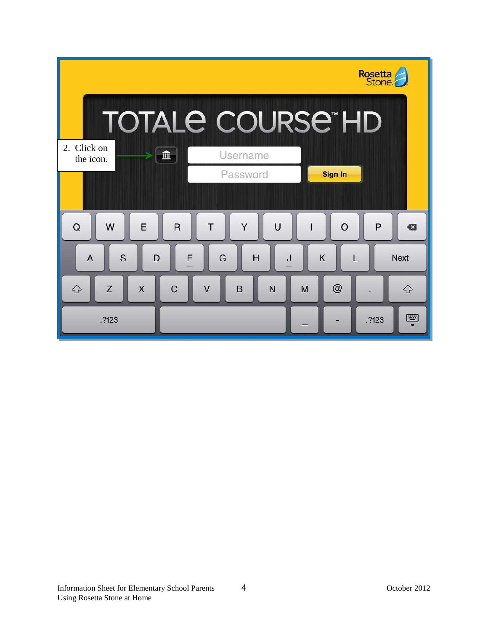|                                                                   | Rosetta<br>Stone             |
|-------------------------------------------------------------------|------------------------------|
| <b>TOTALE COURSE HD</b>                                           |                              |
| 2. Click on<br>Username<br>皿<br>the icon.                         |                              |
| Password                                                          | <b>Sign In</b>               |
| E<br>Y<br>$\mathsf{R}$<br>$\cup$<br>T<br>Q<br>W<br>$\mathsf{l}$   | P<br>$\circ$<br>$\mathbf{a}$ |
| S<br>K<br>F<br>G<br>H<br>$\overline{A}$<br>D<br>J                 | <b>Next</b>                  |
| Z<br>$\mathsf{X}$<br>$\overline{C}$<br>$\vee$<br>B<br>♤<br>M<br>N | @<br>$\Leftrightarrow$       |
| .?123                                                             | 圈<br>.?123                   |